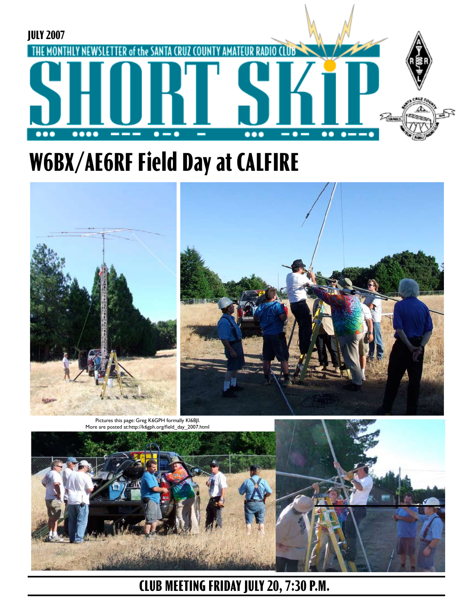

# **W6BX/AE6RF Field Day at CALFIRE**



More are posted at:http://k6gph.org/field\_day\_2007.htmI



**CLUB MEETING FRIDAY JULY 20, 7:30 P.M.**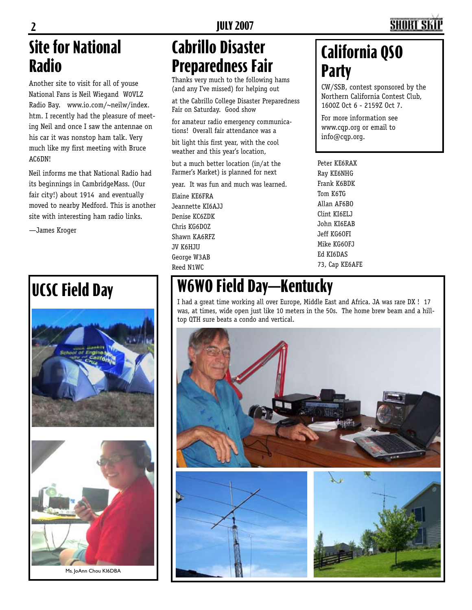# **Site for National Radio**

Another site to visit for all of youse National Fans is Neil Wiegand W0VLZ Radio Bay. www.io.com/~neilw/index. htm. I recently had the pleasure of meeting Neil and once I saw the antennae on his car it was nonstop ham talk. Very much like my first meeting with Bruce AC6DN!

Neil informs me that National Radio had its beginnings in CambridgeMass. (Our fair city!) about 1914 and eventually moved to nearby Medford. This is another site with interesting ham radio links.

—James Kroger





Ms. JoAnn Chou KI6DBA

## **Cabrillo Disaster Preparedness Fair**

Thanks very much to the following hams (and any I've missed) for helping out

at the Cabrillo College Disaster Preparedness Fair on Saturday. Good show

for amateur radio emergency communications! Overall fair attendance was a

bit light this first year, with the cool weather and this year's location,

but a much better location (in/at the Farmer's Market) is planned for next

year. It was fun and much was learned.

Elaine KE6FRA Jeannette KI6AJJ Denise KC6ZDK Chris KG6DOZ Shawn KA6RFZ JV K6HJU George W3AB Reed N1WC

## **California QSO Party**

CW/SSB, contest sponsored by the Northern California Contest Club, 1600Z Oct 6 - 2159Z Oct 7.

For more information see www.cqp.org or email to info@cqp.org.

Peter KE6RAX Ray KE6NHG Frank K6BDK Tom K6TG Allan AF6BO Clint KI6ELJ John KI6EAB Jeff KG6OFI Mike KG6OFJ Ed KI6DAS 73, Cap KE6AFE

# **UCSC Field Day W6WO Field Day—Kentucky**

I had a great time working all over Europe, Middle East and Africa. JA was rare DX ! 17 was, at times, wide open just like 10 meters in the 50s. The home brew beam and a hilltop QTH sure beats a condo and vertical.

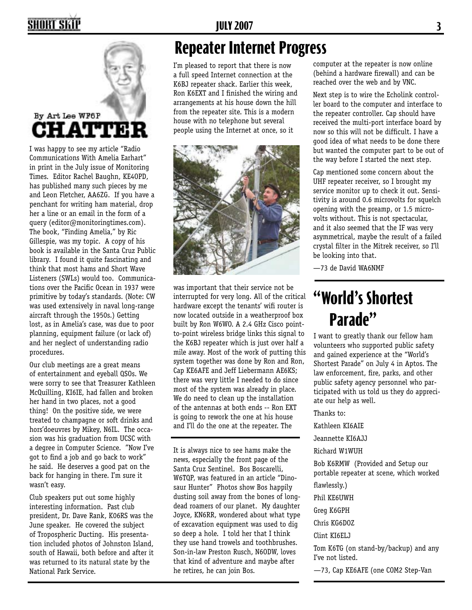## SHORT SKI



I was happy to see my article "Radio Communications With Amelia Earhart" in print in the July issue of Monitoring Times. Editor Rachel Baughn, KE4OPD, has published many such pieces by me and Leon Fletcher, AA6ZG. If you have a penchant for writing ham material, drop her a line or an email in the form of a query (editor@monitoringtimes.com). The book, "Finding Amelia," by Ric Gillespie, was my topic. A copy of his book is available in the Santa Cruz Public library. I found it quite fascinating and think that most hams and Short Wave Listeners (SWLs) would too. Communications over the Pacific Ocean in 1937 were primitive by today's standards. (Note: CW was used extensively in naval long-range aircraft through the 1950s.) Getting lost, as in Amelia's case, was due to poor planning, equipment failure (or lack of) and her neglect of understanding radio procedures.

Our club meetings are a great means of entertainment and eyeball QSOs. We were sorry to see that Treasurer Kathleen McQuilling, KI6IE, had fallen and broken her hand in two places, not a good thing! On the positive side, we were treated to champagne or soft drinks and hors'doeuvres by Mikey, N6IL. The occasion was his graduation from UCSC with a degree in Computer Science. "Now I've got to find a job and go back to work" he said. He deserves a good pat on the back for hanging in there. I'm sure it wasn't easy.

Club speakers put out some highly interesting information. Past club president, Dr. Dave Rank, K06RS was the June speaker. He covered the subject of Tropospheric Ducting. His presentation included photos of Johnston Island, south of Hawaii, both before and after it was returned to its natural state by the National Park Service.

#### **Repeater Internet Progress**

I'm pleased to report that there is now a full speed Internet connection at the K6BJ repeater shack. Earlier this week, Ron K6EXT and I finished the wiring and arrangements at his house down the hill from the repeater site. This is a modern house with no telephone but several people using the Internet at once, so it



was important that their service not be interrupted for very long. All of the critical hardware except the tenants' wifi router is now located outside in a weatherproof box built by Ron W6WO. A 2.4 GHz Cisco pointto-point wireless bridge links this signal to the K6BJ repeater which is just over half a mile away. Most of the work of putting this system together was done by Ron and Ron, Cap KE6AFE and Jeff Liebermann AE6KS; there was very little I needed to do since most of the system was already in place. We do need to clean up the installation of the antennas at both ends -- Ron EXT is going to rework the one at his house and I'll do the one at the repeater. The

It is always nice to see hams make the news, especially the front page of the Santa Cruz Sentinel. Bos Boscarelli, W6TQP, was featured in an article "Dinosaur Hunter" Photos show Bos happily dusting soil away from the bones of longdead roamers of our planet. My daughter Joyce, KN6RR, wondered about what type of excavation equipment was used to dig so deep a hole. I told her that I think they use hand trowels and toothbrushes. Son-in-law Preston Rusch, N6ODW, loves that kind of adventure and maybe after he retires, he can join Bos.

computer at the repeater is now online (behind a hardware firewall) and can be reached over the web and by VNC.

Next step is to wire the Echolink controller board to the computer and interface to the repeater controller. Cap should have received the multi-port interface board by now so this will not be difficult. I have a good idea of what needs to be done there but wanted the computer part to be out of the way before I started the next step.

Cap mentioned some concern about the UHF repeater receiver, so I brought my service monitor up to check it out. Sensitivity is around 0.6 microvolts for squelch opening with the preamp, or 1.5 microvolts without. This is not spectacular, and it also seemed that the IF was very asymmetrical, maybe the result of a failed crystal filter in the Mitrek receiver, so I'll be looking into that.

—73 de David WA6NMF

# **"World's Shortest Parade"**

I want to greatly thank our fellow ham volunteers who supported public safety and gained experience at the "World's Shortest Parade" on July 4 in Aptos. The law enforcement, fire, parks, and other public safety agency personnel who participated with us told us they do appreciate our help as well.

Thanks to:

Kathleen KI6AIE

Jeannette KI6AJJ

Richard W1WUH

Bob K6RMW (Provided and Setup our portable repeater at scene, which worked

flawlessly.) Phil KE6UWH Greg K6GPH Chris KG6DOZ

Clint KI6ELJ

Tom K6TG (on stand-by/backup) and any I've not listed.

—73, Cap KE6AFE (one COM2 Step-Van